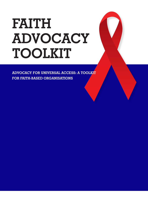# **FAITH ADVOCACY TOOLKIT**

**ADVOCACY FOR UNIVERSAL ACCESS: A TOOLKIT FOR FAITH-BASED ORGANISATIONS**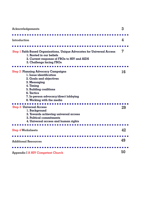| <b>Acknowledgements</b>                                                                                                                                                                                                                                                                       | 3        |
|-----------------------------------------------------------------------------------------------------------------------------------------------------------------------------------------------------------------------------------------------------------------------------------------------|----------|
| Introduction                                                                                                                                                                                                                                                                                  | 4        |
| <b>Step 1 Faith-Based Organisations, Unique Advocates for Universal Access</b><br>1. Rooted in our beliefs<br>2. Current response of FBOs to HIV and AIDS<br>3. Challengs facing FBOs                                                                                                         | 7        |
| <b>Step 2 Planning Advocacy Campaigns</b><br>l. Issue identification<br>2. Goals and objectives<br>3. Messaging<br>4. Timing<br>5. Building coalitions<br>6. Tactics<br>7. In-person advocacy/direct lobbying<br>8. Working with the media<br><b>Step 3 Universal Access</b><br>l. Background | 16<br>29 |
| 2. Towards achieving universal access<br>3. Political commitments<br>4. Universal access and human rights                                                                                                                                                                                     |          |
| <b>Step 4 Worksheets</b>                                                                                                                                                                                                                                                                      | 42       |
| <b>Additional Resources</b>                                                                                                                                                                                                                                                                   | 49       |
| <b>Appendix I A HIV Competent Church</b>                                                                                                                                                                                                                                                      | 50       |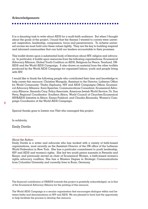It is a daunting task to write about AIDS for a multi-faith audience. But when I thought about the goals of the project, I found that the themes I wanted to convey were universal: inspiration, leadership, compassion, focus and perseverance. To achieve universal access we must hold onto these values tightly. They are the key to building inspired and informed communities that can hold our leaders accountable to their promises.

This toolkit draws upon a substantial body of literature about HIV, religion and advocacy. In particular, it builds upon resources from the following organisations: Ecumenical Advocacy Alliance, Global Youth Coalition on AIDS, Religions for Peace, Tearfund, UN-AIDS and the World AIDS Campaign. It also draws on material from the other toolkits produced by the World AIDS Campaign for organised labour, youth and people living with HIV.

I would like to thank the following people who contributed their time and knowledge to help create this resource: Christine Mangale, Assistant to the Director, Lutheran Office for World Community; Thabo Sephuma, HIV and AIDS Campaigns Officer, Ecumenical Advocacy Alliance; Sara Speicher, Communications Consultant, Ecumenical Advocacy Alliance; Amanda Cary, Policy Associate, American Jewish World Service; Dr. Sue Perry, Regional Coordinator: Southern Africa, World Council of Churches-Ecumenical HIV&AIDS Initiative in Africa; Emma Pulsford; and Claudia Ahumada, Women's Campaign Coordinator at the World AIDS Campaign.

Special thanks goes to Jostein van Vliet who managed this project.

In solidarity,

Emily Davila

#### About the Author:

Emily Davila is a writer and advocate who has worked with a variety of faith-based organizations, most recently as the Assistant Director of the UN office of the Lutheran World Federation in New York. She has a particular commitment to youth leadership, HIV and AIDS and women's rights. She led two youth peace summits in Rwanda and Kenya, and previously served as chair of Ecumenical Women, a faith-based women's rights advocacy coalition. She has a Masters Degree in Strategic Communications from Columbia University and currently lives in Bonn, Germany.

The financial contribution of UNAIDS towards this project is gratefully acknowledged, as is that of the Ecumenical Advocacy Alliance for the printing of this resource.

The World AIDS Campaign is a secular organisation that encourages dialogue within and between faiths and denominations on HIV and AIDS. We are pleased to have had the opportunity to help facilitate the process to develop this resource.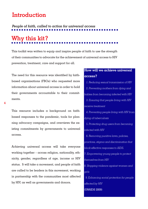## **Introduction**

*People of faith, called to action for universal access*

# **Why this kit?**

This toolkit was written to equip and inspire people of faith to use the strength of their communities to advocate for the achievement of universal access to HIV prevention, treatment, care and support for all.

The need for this resource was identified by faithbased organisations (FBOs) who requested more information about universal access in order to hold their governments accountable to their commitments.

This resource includes a background on faithbased responses to the pandemic, tools for planning advocacy campaigns, and overviews the existing commitments by governments to universal access.

Achieving universal access will take everyone working together – across religion, nationality, ethnicity, gender, regardless of age, income or HIV status. It will take a movement, and people of faith are called to be leaders in this movement, working in partnership with the communities most affected by HIV, as well as governments and donors.

## **How will we achieve universal access?**

 *1. Reducing sexual transmission of HIV 2. Preventing mothers from dying and babies from becoming infected with HIV 3. Ensuring that people living with HIV receive treatment 4. Preventing people living with HIV from dying of tuberculosis 5. Protecting drug users from becoming infected with HIV 6. Removing punitive laws, policies, practices, stigma and discrimination that block effective responses to AIDS. 7. Empowering young people to protect themselves from HIV 8. Stopping violence against women and girls 9. Enhancing social protection for people affected by HIV* (UNAIDS 2009)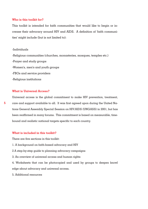#### **Who is this toolkit for?**

This toolkit is intended for faith communities that would like to begin or increase their advocacy around HIV and AIDS. A definition of 'faith communities' might include (but is not limited to):

-Individuals -Religious communities (churches, monasteries, mosques, temples etc.) -Prayer and study groups -Women's, men's and youth groups -FBOs and service providers -Religious institutions

#### **What is Universal Access?**

Universal access is the global commitment to make HIV prevention, treatment, care and support available to all. It was first agreed upon during the United Nations General Assembly Special Session on HIV/AIDS (UNGASS) in 2001, but has been reaffirmed in many forums. This commitment is based on measurable, timebound and realistic national targets specific to each country.

#### **What is included in this toolkit?**

There are five sections in this toolkit:

- 1. A background on faith-based advocacy and HIV
- 2 A step-by-step guide to planning advocacy campaigns
- 3. An overview of universal access and human rights

4. Worksheets that can be photocopied and used by groups to deepen knowl edge about advocacy and universal access.

5. Additional resources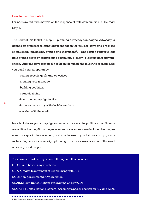#### **How to use this toolkit:**

For background and analysis on the response of faith communities to HIV, read Step 1*.* 

The heart of this toolkit is Step 2 – planning advocacy campaigns. Advocacy is defined as a process to bring about change in the policies, laws and practices of influential individuals, groups and institutions<sup>1</sup>. This section suggests that faith groups begin by organising a community plenary to identify advocacy priorities. After the advocacy goal has been identified, the following sections help you build your campaign by:

-setting specific goals and objectives -creating your message -building coalitions -strategic timing -integrated campaign tactics -in-person advocacy with decision-makers -working with the media.

In order to focus your campaign on universal access, the political commitments are outlined in Step 3. In Step 4, a series of worksheets are included to complement concepts in the document, and can be used by individuals or by groups as teaching tools for campaign planning. For more resources on faith-based advocacy, read Step 5.

There are several acronyms used throughout this document: FBOs: Faith-based Organisations GIPA: Greater Involvement of People living with HIV NGO: Non-governmental Organisation UNAIDS: Joint United Nations Programme on HIV/AIDS UNGASS : United Nations General Assembly Special Session on HIV and AIDS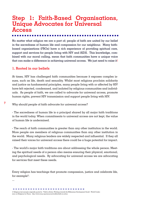## **Step 1: Faith-Based Organisations, Unique Advocates for Universal Access**

No matter what religion we are a part of; people of faith are united by our belief in the sacredness of human life and compassion for our neighbour. Many faithbased organisations (FBOs) have a rich experience of providing spiritual care, support and services for people living with HIV and AIDS. This knowledge, combined with our moral calling, mean that faith communities have a unique voice that can make a difference in achieving universal access. We just need to raise it!

#### **1. Rooted in our beliefs**

At times, HIV has challenged faith communities because it exposes complex issues, such as life, death and sexuality. Whilst most religions proclaim solidarity and justice as fundamental principles, many people living with or affected by HIV have felt rejected, condemned, and isolated by religious communities and individuals. As people of faith, we are called to advocate for universal access, promote human rights, prevent HIV transmission and support people living with HIV.

Why should people of faith advocate for universal access?

- The sacredness of human life is a principal shared by all major faith traditions in the world today. When commitments to universal access are not kept, the value of human life is undermined.

- The reach of faith communities is greater than any other institution in the world. More people are members of religious communities than any other institution in the world. Many religious leaders are widely respected and influential. If they all raised their voices for universal access there could be a huge potential for impact.

- The world's major faith traditions are about addressing the whole person. Meeting the spiritual needs of a person also means ensuring their physical, emotional, and psychological needs. By advocating for universal access we are advocating for services that meet these needs.

Every religion has teachings that promote compassion, justice and celebrate life, for example<sup>2</sup>:

...

**7**

2 Religious text excerpts originally quoted in "Faith in Action: Working towards the Millennium Development Goals", World Conference on Religions for Peace. http://www.wcrp.org/resources/toolkits/faith-in-action

--------------------------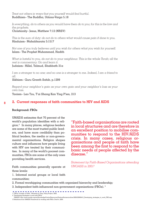*Treat not others in ways that you yourself would find hurtful.* Buddhism– The Buddha, Udana-Varga 5.18

*In everything, do to others as you would have them do to you; for this is the law and the prophets.* Christianity– Jesus, Matthew 7:12 (NRSV)

*This is the sum of duty: do not do to others what would cause pain if done to you.* Hinduism– Mahabharata 5:1517

*Not one of you truly believes until you wish for others what you wish for yourself.* Islam– The Prophet Muhammad, Hadith

*What is hateful to you, do not do to your neighbour. This is the whole Torah; all the rest is commentary. Go and learn it.* Judaism– Hillel, Talmud, Shabbath 31a

*I am a stranger to no one; and no one is a stranger to me. Indeed, I am a friend to all.*

Sikhism– Guru Granth Sahib, p.1299

*Regard your neighbor's gain as your own gain and your neighbor's loss as your own loss.*

Taoism– Lao Tzu, T'ai Shang Kan Ying P'ien, 213

#### **2. Current responses of faith communities to HIV and AIDS**

#### **Background: FBOs**

**8**

UNAIDS estimates that 70 percent of the world's population identifies with a religion.4 In many places, religious leaders are some of the most trusted public leaders, and have more credibility than political leaders, the media or non-governmental organisations. Religion shapes culture and influences how people living with HIV are treated by their communities. In many of the world's poorest communities, FBOs are some of the only ones providing health services.

Faith communities generally operate at three levels:

1. Informal social groups or local faith communities;

"Faith-based organisations are rooted in local structures and are therefore in an excellent position to mobilise communities to respond to the HIV/AIDS crisis. In many cases, religious organisations and people of faith have been among the first to respond to the basic needs of people affected by the disease."

*Statement by Faith-Based Organisations attending UNGASS in 20013*

- 2. Formal worshipping communities with organised hierarchy and leadership;
- 3. Independent faith-influenced non-government organisations (FBOs). 5

. . . . . . . . . . . . **Contract Contract** 

3 "FBOs: A matter of Faith", Moments in Time, Policy Project, 2003. 4 "Developing Strategies to work with FBOs"

UNAIDS: http://www.unaids.org/en/KnowledgeCentre/Resources/FeatureStories/archive/2008/20080410\_Developing\_strategies\_to\_work\_FBO.asp 5 Definitions from UNAIDS Framework for working with FBOs. Draft 4, 2009.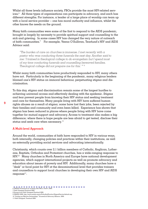Whilst all three levels influence society, FBOs provide the most HIV-related services.6 All three types of organisations can participate in advocacy, and each has different strengths. For instance,  $\alpha$  leader of  $\alpha$  large place of worship can team up with a local service provider -- one has moral authority and influence, whilst the other knows the needs on the ground.

Many faith communities were some of the first to respond to the AIDS pandemic, brought in largely by necessity to provide spiritual support and counselling to the sick and grieving. In some cases HIV has changed the very nature of outreach of faith communities.7 For example, Veena O'Sullivan, Tearfund's HIV and AIDS Advisor said:

*"The burden of care on churches is immense. I met recently with a pastor who was conducting three funerals the next day. Another said to me: 'I trained in theological college to do evangelism but I spend most of my time conducting funerals and counselling bereaved families. Theological college did not prepare me for this.'* " *<sup>8</sup>*

Whilst many faith communities have productively responded to HIV, many others have not. Particularly in the beginning of the pandemic, many religious leaders blamed one's HIV status on immoral behaviour, perpetuating stigma and discrimination.

To this day, stigma and discrimination remain some of the largest hurdles to achieving universal access and effectively dealing with the epidemic. Stigma and fear prevent people from knowing their HIV status and seeking treatment and care for themselves. Many people living with HIV have suffered human rights abuses as a result of stigma; some have lost their jobs, been rejected by their families and community and even been killed. Experience has shown that stigma has been reduced in places where people living with HIV have come together for mutual support and advocacy. Access to treatment also makes a big difference; where there is hope people are less afraid to get tested, disclose their status and seek care when necessary.<sup>9</sup>

#### **A Multi-level Approach**

Around the world, communities of faith have responded to HIV in various ways, both internally, changing policies and practices within their institutions, as well as externally providing social services and advocating internationally.

Christianity, which counts over 2.1 billion members of Catholic, Anglican, Lutherans, Baptists, Orthodox and Protestant churches, has a wide-ranging response to HIV.10 Many churches in North America and Europe have national development agencies, which support international projects as well as promote advocacy and education about issues of poverty and HIV. Additionally, many churches have a "desk" or focal point for HIV at the denominational level that provides trainers and counsellors to support local churches in developing their own HIV and AIDS response<sup>11</sup>.

<sup>10 &</sup>quot;Scaling up Effective Partnerships," Ecumenical Advocacy Alliance, 2006.

<sup>11</sup> Faith Untapped, Tearfund 2006.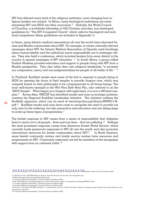HIV has affected every level of the religious institution, even changing how religious leaders are trained. In Africa, many theological institutions are mainstreaming HIV and AIDS into their curriculum.<sup>12</sup> Globally, the World Council of Churches, a worldwide fellowship of 349 Christian churches, has developed guidelines for "The HIV Competent Church" which calls for theological and technical competence (these guidelines are included in Appendix 1).

In Islam, many Islamic medical associations all over the world have educated Imams and Muslim communities about HIV. For example, to create culturally relevant messages about HIV, the Islamic Medical Association of Uganda used teachings about mutual fidelity and the individual moral responsibility not to endanger others. They also held a conference, which included leaders from every district in the country to spread messages of HIV education. <sup>13</sup> In South Africa, a group called Positive Muslims provides education and support to people living with HIV from a Muslim perspective. They also lobby their own religious leadership "to increase our compassion, mercy and non-judgementalism for people of all walks of life." 14

In Thailand, Buddhist monks were some of the first to respond to people dying of AIDS by opening the doors of their temples to provide hospice care, which was uniquely based on their philosophy to be compassionate to all living beings. The most well-known example is the Wat Phra Baht Nam Phu, also referred to as the "AIDS Temple". What began as a hospice with eight beds, it is now a 400-bed complex.15 Across Asia, UNICEF has identified monks and nuns as strategic partners, creating the Regional Buddhist Leadership Initiative. The initiative outlines the Buddhist approach, which can be read at www.hivpolicy.org/Library/HPP001156. pdf.16 Buddhist monks and nuns have come to recognise the need to provide not only care for the suffering, but also prevention and education and are taking steps to scale-up these types of programmes.<sup>17</sup>

The Jewish response to HIV comes from a sense of responsibility that obligates Jews to reach out to all people – Jews and non-Jews – that are suffering.<sup>18</sup> Perhaps the most prominent response comes from American Jewish World Service, which currently funds grassroots responses to HIV all over the world, and also promotes educational resources for Jewish communities about  $HIV<sup>19</sup>$ . In North America, some Jewish community centers and family service centres have resources and programmes on HIV. Community responses are led by members of the synagogue with support from an ordained rabbi.<sup>20</sup>

12 For more information, see: Chitando,Ezra. Mainstreaming HIV and AIDS in Theological Education, EHAIA Series, World Council of Churches, 2008.

18"Scaling up Effective Partnerships", Ecumenical Advocacy Alliance 2006.

<sup>13 &</sup>quot;Moments in Time" HIV/AIDS Advocacy Stories, The Policy Project p 79. see also: http://imauganda.org

<sup>14</sup> More information: http://www.positivemuslims.org.za/

<sup>15&</sup>quot;Scaling up Effective Partnerships", Ecumenical Advocacy Alliance 2006.

<sup>16</sup> See "HIV/AIDS From a Buddhist Perspective, The Four Noble Truths of AIDS", www.hivpolicy.org/Library/HPP001156.pdf

<sup>17 &</sup>quot;Scaling up Effective Partnerships", Ecumenical Advocacy Alliance 2006.

<sup>19</sup> See also "The Global HIV/AIDS Pandemic" a comprehensive resource on HIV and Jewish response including learning module: http://ajws.org/what\_we\_do/ education/hiv\_aids.html

<sup>20 &</sup>quot;Scaling up Effective Partnerships", Ecumenical Advocacy Alliance 2006.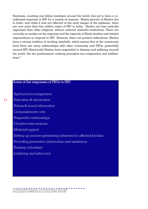Hinduism, counting one billion members around the world, has yet to have a coordinated response to HIV for a variety of reasons. Ninety percent of Hindus live in India, and while it was not affected at the early stages of the epidemic, there are now more than five million cases of HIV in India. Hindus are less centrally organised than other religions, without national umbrella institutions. There are currently no studies on the response and the capacity of Hindu leaders and related organisations to respond to HIV. However, there are positive indications; Hindus have a strong tradition of working interfaith, which means that at the community level there are many relationships with other community and FBOs, potentially around HIV. Historically Hindus have responded to disease and suffering around the world; the two predominant unifying principles are compassion and selflessness.21

#### Some of the responses of FBOs to HIV:

*-Spiritual encouragement*

*-Education & information*

*-Values & moral information*

*-Compassionate care*

*-Respectful relationships*

*-Curative interventions* 

*-Material support*

*-Setting up income-generating schemes for affected families* 

*-Providing prevention information and assistance* 

*-Training volunteers*

*-Lobbying and advocacy* <sup>22</sup>

 $\blacksquare$   $\blacksquare$   $\blacksquare$   $\blacksquare$   $\blacksquare$   $\blacksquare$   $\blacksquare$   $\blacksquare$   $\blacksquare$   $\blacksquare$   $\blacksquare$   $\blacksquare$   $\blacksquare$   $\blacksquare$   $\blacksquare$   $\blacksquare$   $\blacksquare$   $\blacksquare$   $\blacksquare$   $\blacksquare$   $\blacksquare$   $\blacksquare$   $\blacksquare$   $\blacksquare$   $\blacksquare$   $\blacksquare$   $\blacksquare$   $\blacksquare$   $\blacksquare$   $\blacksquare$   $\blacksquare$   $\blacks$ 22 Some adapted from UNAIDS Framework on working with FBOs. Draft 4 2009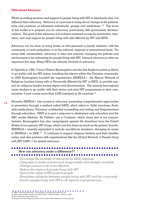#### **Faith-based Advocacy**

Whilst providing services and support to people living with HIV is absolutely vital, it is different than advocacy. Advocacy is a process to bring about change in the policies, laws and practices of influential individuals, groups and institutions. 23 The focus of this toolkit is to prepare you for advocacy, particularly with government decisionmakers. The goal of this advocacy is to achieve universal access for prevention, treatment, care and support for people living with and affected by HIV and AIDS.

Advocacy can be done at many levels: in inter-personal or family relations, with the community or local authorities, or at the national, regional or international level. For many faith communities, advocacy is often first internal, changing the policies and environment to be welcoming for people living with HIV. Internal advocacy is often an important first step. Many FBOs are already involved in advocacy.

In Uganda in 1992, Canon Gideon Byamugisha was the first Anglican priest in Africa to go public with his HIV status, breaking the silence within the Christian community. In 2003 Byamugisha founded the organisation ANERELA+, the African Network of Religious Leaders Living with or Personally Affected by HIV or AIDS, to provide support for religious leaders facing stigma and discrimination. The network has inspired many leaders to go public with their status and start HIV programmes in their communities. It now counts more than 2,000 members in 39 countries.<sup>24</sup>

Recently ANERLA+ has turned to advocacy, promoting comprehensive approaches to prevention through a method called SAVE, which refers to: Safer practices, Available medications, Voluntary confidential counselling and testing and Empowerment through education. SAVE is in part a response to abstinence only education and the ABC model (Abstain, Be Faithful, use a Condom), which many feel is not comprehensive. Byamugisha has also campaigned against the donations from the United States of non-generic HIV drugs, which cost five times as much as the generic brands. ANERELA+ recently expanded to include non-African members, changing its name to INERELA  $+$  in 2008.<sup>25</sup> It continues to support religious leaders and their families today, and also partners with organisations like the Global Network of People living with HIV (GNP+) for global advocacy. **12**

### **How can advocacy make a difference?**<sup>26</sup> ..........................

*-Encourage the increase of resources for AIDS response*

- *-Campaign to make antiretroviral drugs widely and cheaply available*
- *-Change policies to be more effective*
- *-Reduce the stigma of people living with HIV*

*-Uphold the rights of HIV-positive people*

- *-Strengthen solidarity between people living with HIV and the community*
- *-Involve people living with HIV in all aspects of programming*

 $\blacksquare$   $\blacksquare$   $\blacksquare$   $\blacksquare$   $\blacksquare$   $\blacksquare$   $\blacksquare$   $\blacksquare$   $\blacksquare$   $\blacksquare$   $\blacksquare$   $\blacksquare$   $\blacksquare$   $\blacksquare$   $\blacksquare$   $\blacksquare$   $\blacksquare$   $\blacksquare$   $\blacksquare$   $\blacksquare$   $\blacksquare$   $\blacksquare$   $\blacksquare$   $\blacksquare$   $\blacksquare$   $\blacksquare$   $\blacksquare$   $\blacksquare$   $\blacksquare$   $\blacksquare$   $\blacksquare$   $\blacks$ 

25 More information: http://inerela.org

<sup>24 &</sup>quot;HIV-positive religious leaders break their silence", Mail & Guardian. March 17, 2008.

<sup>26</sup> Adapted from What Religious Leaders Can Do About AIDS, Religions for Peace, page 24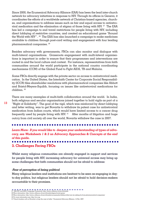Since 2000, the Ecumenical Advocacy Alliance (EAA) has been the lead inter-church network for advocacy initiatives in response to HIV. Through its offices in Geneva, it coordinates the efforts of a worldwide network of Christian-based agencies, churches, and organisations to address issues such as fair and equal access to antiretroviral medication and the elimination of stigma of those living with HIV. 27 The EAA has led a campaign to end travel restrictions for people living with HIV, including direct lobbying of restrictive countries, and created an educational game "Around the World with HIV".  $^{28}$  The EAA has also launched a campaign to make medicines available to children through post-card writing and engagement with four leading pharmaceutical companies. 29

Besides advocacy with governments, FBOs can also monitor and dialogue with multi-lateral organisations. Grassroots engagement with multi-lateral organisations is important in order to ensure that their programmes and interventions are rooted in and the local culture and context. For instance, representatives from faith communities around the world participate in the national country coordinating mechanisms (CCM) of the Global Fund to Fight AIDS, TB and Malaria.

Some FBOs directly engage with the private sector on access to antiretroviral medication. In the United States, the Interfaith Center for Corporate Social Responsibility (ICCR) files shareholder resolutions with pharmaceutical companies like Abbott and Bristol-Meyers-Squibb, focusing on issues like antiretroviral medications for children. 30

There are many examples of multi-faith collaboration around the world. In India, both religious and secular organisations joined together to hold vigils as part of  $\alpha$ "Night of Solidarity". The goal of the vigil, which was reinforced by direct lobbying and letter writing, was to get Novartis to withdraw its patent case for antiretroviral medication from Indian courts, which would have limited access to a cancer drug frequently used by people living with HIV. 31 After months of litigation and huge outcry from civil society all over the world, Novartis withdrew the case in 2007.

*Learn More: If you would like to deepen your understanding of types of advocacy, see Worksheets 1 & 2 on Advocacy Approaches & Concepts at the end of this guide.*

#### . . . . . . . . . ------**3. Challenges Facing FBOs**

Whilst many religious communities are already engaged in support and services for people living with HIV, increasing advocacy for universal access may bring up some challenges that faith communities should not be afraid to address:

#### *-Fear of perception of being political*

Many religious leaders and institutions are hesitant to be seen as engaging in dayto-day politics, but religious leaders should not be afraid to hold decision-makers accountable to their promises.

 $27$  EAA HIV and AIDS Campaign Framework: http://www.e-alliance.ch/en/s/hivaids/

 <sup>28</sup> More information: http://www.e-alliance.ch/en/s/hivaids/stigma/travel-game/

 <sup>29</sup> More information: http://www.e-alliance.ch/en/s/hivaids/accessmeds/children/what-are-we-asking-for-from-pharmaceutical-companies/

 <sup>30</sup> For more information see: http://iccr.org

 <sup>31&</sup>quot;Church leaders call on Novartis to drop the case in India," Ecumenical Advocacy Alliance, 14 Feb. 2007.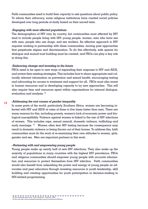Faith communities need to build their capacity to ask questions about public policy. To inform their advocacy, some religious institutions have created social policies developed over long periods of study based on their sacred texts.

#### *-Engaging with most affected populations*

The demographics of HIV vary by country, but communities most affected by HIV tend to include people living with HIV, young people, women, men who have sex with men, people who use drugs, and sex workers. An effective approach to HIV requires working in partnership with these communities, moving past approaches that perpetuate stigma and discrimination. To do this effectively, safe spaces for dialogue and mutual trust building must be created, and FBOs can play a key role in doing this.

#### -*Embracing change and investing in the future*

FBOs need to be open to new ways of expanding their response to HIV and AIDS, and review their existing strategies. This includes how to share appropriate and culturally relevant information on prevention and sexual health, encouraging testing and advocating for access to treatment and support for all. FBOs must also invest in human resources and in developing capacity to try new approaches. This will also require time and resources spent within organisations for internal dialogue, evaluation and analysis. 32

#### *-Addressing the root causes of gender inequality*  **14**

In some parts of the world, particularly Southern Africa, women are becoming infected with HIV and AIDS at rates of three to five times faster than men. There are many reasons for this, including poverty, women's lack of economic power and biological susceptibility. Violence against women is linked to the rise of HIV infections of women. This includes rape, sexual assault, domestic violence, trafficking and early marriage.<sup>33</sup> Women often fear HIV testing because the consequence may result in domestic violence or being thrown out of their homes. To address this, faith communities must do the work of re-examining their own attitudes to women, girls, gender and sex. Men are important partners in this work.

#### *–Partnering with and empowering young people*

Young people make up nearly half of new HIV infections. They also make up the majority of populations in many countries with the highest HIV prevalence. FBOs and religious communities should empower young people with accurate information and resources to protect themselves from HIV infection. Faith communities would also benefit from unleashing the power and energy of young people as advocates and peer educators through investing resources in youth leadership, skill building and creating opportunities for youth participation in decision-making in HIV-related programming.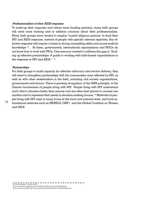#### *-Professionalism of their AIDS response*

To scale-up their response and attract more funding partners, many faith groups will need more training and to address concerns about their professionalism. Many faith groups have tended to employ 'trusted religious persons' to lead their HIV and AIDS response, instead of people with specific relevant expertise. Any effective response will require a basis in strong counselling skills and sound medical knowledge 34. At times, governments, international organisations and NGOs do not know how to work with FBOs. One resource created to address this gap is "Scaling up effective partnerships: A guide to working with faith-based organisations in the response to HIV and AIDS." 35

#### *-Partnerships*

For faith groups to build capacity for effective advocacy and service delivery, they will need to strengthen partnerships with the communities most affected by HIV, as well as with other stakeholders in the field, including civil society organisations, governments and donors. There is growing recognition of the GIPA principle, or the Greater Involvement of people living with HIV. People living with HIV understand each other's situation better than anyone and are often best placed to counsel one another and to represent their needs in decision-making forums. 36 Networks of people living with HIV exist in many forms at the local and national level, and have international networks such as INERELA, GNP+ and the Global Coalition on Women and AIDS.

34 "Faith Untapped", Tearfund. 2007

 35 See: http://www.e-alliance.ch/en/s/hivaids/mobilizing-resources/faith-literacy/ 36 For more about GIPA: http://www.unaids.org/en/PolicyAndPractice/GIPA/default.asp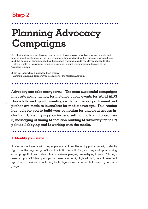## **Step 2**

# **Planning Advocacy Campaigns**

As religious leaders, we have a very important role to play in lobbying governments and international institutions so that we can strengthen and add to the voices of organisations and the people of our churches that have been working of a day-to-day response to HIV. -- Msgr. Gustavo Rodriguez, President, National Social Commission in Mexico of the Catholic Church.

If not us, then who? If not now, then when?" --Winston Churchill, former Prime Minister of the United Kingdom

**Advocacy can take many forms. The most successful campaigns integrate many tactics, for instance public events for World AIDS Day is followed up with meetings with members of parliament and pitches are made to journalists for media coverage. This section has tools for you to build your campaign for universal access including: 1) identifying your issue 2) setting goals and objectives 3) messaging 4) timing 5) coalition building 6) advocacy tactics 7) political lobbying and 8) working with the media.** 

#### ---------

#### **1. Identify your issue**

It is important to work with the people who will be affected by your campaign, ideally right from the beginning. Without this initial consultation, you may end up launching a campaign that is not relevant or inclusive of people you are trying to reach. Through research you will identify a topic that needs to be highlighted and you will have built up a bank of evidence including facts, figures, and comments to use in your campaign.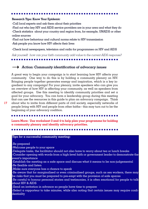#### **Research Tips: Know Your Epidemic**

-Call local experts and ask them about their priorities

-Find out who key HIV and AIDS service providers are in your area and what they do -Check statistics about your country and region from, for example, UNAIDS or other online sources

-Find out how behaviour and cultural norms relate to HIV transmission -Ask people you know how HIV affects their lives

-Check local newspapers, television and radio for programmes on HIV and AIDS

*Ask yourself: how can your faith community add value to the current AIDS response?*

#### 4 *Action: Community identification of advocacy issues*

A great way to begin your campaign is to start learning how HIV affects your community. One way to do this is by holding a community plenary on HIV. Bringing people together generates energy and inspiration, which is a key ingredient to any campaign! For your plenary, invite speakers who can give you an overview of how HIV is affecting your community, as well as speakers from affected groups. Use this meeting to identify community priorities and set a goal for your advocacy. You can form a leadership group during this meeting that can use the resources in this guide to plan an advocacy campaign. Think about who to invite from different parts of civil society, especially networks of people living with HIV and people from other faiths-- this may turn out to be the

**Learn More: Use worksheet 3 and 4 to help plan your programme for holding a community plenary and identify advocacy priorities.**

#### **Tips for a successful community meeting:**

beginning of your advocacy coalition.

-Be prepared

-Welcome people to your space

-Delegate tasks, the facilitator should not also have to worry about tea or lunch breaks -Consider opening with words from a high-level faith or government leader to demonstrate the event's importance

-Establish the meeting as a safe space and discuss what it means to be non-judgemental -Be flexible and listen

-Make sure everyone has a chance to speak

-Be aware that for marginalised or even criminalised groups, such as sex workers, there may be risks that you must be prepared to pre-empt with the provision of safe spaces

-Be careful to honour personal stories and testimonies, it is often emotional for people to talk about HIV & AIDS

-Send an invitation in advance so people have time to prepare

-Select a rapporteur to take minutes, while also noting that certain issues may require confidentiality

**17**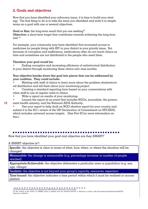### **2. Goals and objectives**

Now that you have identified your advocacy issue, it is time to build your strategy. The first thing to do is to take the issue you identified and write it in simple terms as a goal with one or several objectives.

**Goal or Aim:** the long-term result that you are seeking<sup>37</sup>

**Objective:** a short-term target that contributes towards achieving the long-term aim 38

For example, your community may have identified that increased access to medicines for people living with HIV in your district is your priority issue. But because of corruption and inefficiency, medications often do not reach clinics on time and sometimes are not distributed to the people who need them.

#### **Therefore your goal would be:**

• Ending corruption and increasing efficiency of antiretroviral distribution in your district through monitoring three clinics over nine months.

#### **Your objective breaks down this goal into pieces that can be addressed by your coalition. They could include:**

Meeting with staff of clinics to learn more about the problem ofantiretroviral distribution and tell them about your monitoring project.

• Creating a standard reporting form based on your conversations with clinic staff to use at regular visits to clinics.

- Write  $\alpha$  report on results of your monitoring.
- Launch the report at an event that includes NGOs, journalists, the government health ministry, and the National AIDS Authority.
	- Use your report to help draft an NGO shadow report for your country and submit it to the 2011 review of the UN Declaration of Commitment on HIV/AIDS, which includes universal access targets. (See Part III for more information on this.)

Now that you have identified your goal and objective are they SMART?

A SMART objective is $33$ :

**18**

*Specific*: the objective is clear in terms of what, how, when, or where the situation will be changed

*Measurable:* the change is measurable (e.g. percentage increase or number of people reached)

*Appropriate/Achievable*: the objective delineates a particular area or population (e.g. sex, age, village)

Realistic: the objective is not beyond your group's capacity, resources, experienc

*Time-bound:* the objective indicates a time period within which it must be realised or accomplished

37-38 This content was adapted from International AIDS Alliance's Advocacy in Action toolkit.

39 The content of this section on SMART goals is adapted from the Tearfund ROOTS 2: Advocacy in Action, http://tilz.tearfund.org/Publications/ROOTS/ Advocacy+toolkit.htm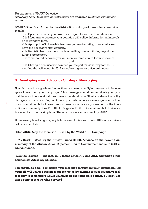For example, a SMART Objective:

*Advocacy Aim: To ensure antiretrovirals are delivered to clinics without corruption.* 

**SMART Objective:** To monitor the distribution of drugs at three clinics over nine months.

-It is Specific because you have a clear goal for access to medication. -It is Measurable because your coalition will collect information at intervals on a standard form.

-It is Appropriate/Achievable because you are targeting three clinics and have the necessary staff capacity.

-It is Realistic because the focus is on writing one monitoring report, not direct enforcement.

-It is Time-bound because you will monitor three clinics for nine-months. -and-

-It is Strategic because you can use your report for advocacy for the UN meeting that will occur in 2011 to reviewtargets for universal access.

### **3. Developing your Advocacy Strategy: Messaging**

Now that you have goals and objectives, you need a unifying message to let everyone know about your campaign. This message should communicate your goal and be easy to understand. Your message should specifically address the policy change you are advocating for. One way to determine your message is to find out about commitments that have already been made by your government or the international community (See Part III of this guide, Political Commitments to Universal Access). It can be as simple as "Universal access to treatment by 2010".

Some examples of slogans people have used for issues around HIV and/or universal access include:

**"Stop AIDS. Keep the Promise." – Used by the World AIDS Campaign** 

**"15% Now!" – Used by the African Public Health Alliance on the seventh anniversary of the African Union 15 percent Health Commitment made in 2001 in Abuja, Nigeria.**

**"Live the Promise" – The 2009-2012 theme of the HIV and AIDS campaign of the Ecumenical Advocacy Alliance.** 

**You should be able to integrate your message throughout your campaign. Ask yourself, will you use this message for just a few months or over several years? Is it easy to remember? Could you put it on a letterhead, a banner, a T-shirt, use it in a song or in a worship service?**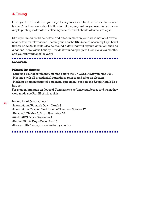#### **4. Timing**

Once you have decided on your objectives, you should structure them within a timeframe. Your timeframe should allow for all the preparation you need to do (for example printing materials or collecting letters), and it should also be strategic.

Strategic timing could be before and after an election, or to raise national awareness before an international meeting such as the UN General Assembly High Level Review on AIDS. It could also be around a date that will capture attention, such as a national or religious holiday. Decide if your campaign will last just a few months, or if you will work on it for years.

#### **EXAMPLES**

#### **Political Timeframes:**

-Lobbying your government 6 months before the UNGASS Review in June 2011 -Meetings with all presidential candidates prior to and after an election -Marking an anniversary of a political agreement, such as the Abuja Health Declaration

For more information on Political Commitments to Universal Access and when they were made see Part III of this toolkit.

International Observances: **20**

-International Women's Day – March 8 -International Day for Eradication of Poverty – October 17 -Universal Children's Day – November 20 -World AIDS Day – December 1 -Human Rights Day – December 10 -National HIV Testing Day – Varies by country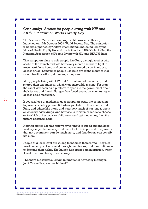#### *Case study: A voice for people living with HIV and AIDS in Malawi on World Poverty Day*

The Access to Medicines campaign in Malawi was officially launched on 17th October 2008, World Poverty Day. The campaign is being supported by Oxfam International and being led by the Malawi Health Equity Network and other local NGOS, including the National Association of People Living with HIV and REACH Trust.

This campaign aims to help people like Ruth, a single mother who spoke at the launch and told how every month she has to fight to travel, wait long hours and sometimes is turned away, in order to access drugs. Sometimes people like Ruth are at the mercy of individual health staff to get the drugs they need.

Many people living with HIV and AIDS attended the launch, and shared their experiences, which were incredibly moving. For them the event was seen as a platform to speak to the government about their issues and the challenges they faced everyday when trying to access basic medicines.

If you just look at medicines as a campaign issue, the connection to poverty is not apparent. But when you listen to this woman and Ruth, and others like them, and hear how much of her time is spent on chasing basic drugs, and how she is sometimes made to choose as to which of her two sick children should get medicines, then the picture becomes clear.

Hearing stories like this renews my strength to speak out and keep working to get the message out there that this is preventable poverty, that my government can do much more, and that donors can contribute more.

People at a local level are willing to mobilise themselves. They just need our support to channel through their issues, and the confidence to demand their rights. The launch has opened an interaction, which if sustained, will bring about change.

--Shenard Mazengera, Oxfam International Advocacy Manager, Joint Oxfam Programme, Malawi<sup>40</sup>

 $\blacksquare$   $\blacksquare$   $\blacksquare$   $\blacksquare$   $\blacksquare$   $\blacksquare$   $\blacksquare$   $\blacksquare$   $\blacksquare$   $\blacksquare$   $\blacksquare$   $\blacksquare$   $\blacksquare$   $\blacksquare$   $\blacksquare$   $\blacksquare$   $\blacksquare$   $\blacksquare$   $\blacksquare$   $\blacksquare$   $\blacksquare$   $\blacksquare$   $\blacksquare$   $\blacksquare$   $\blacksquare$   $\blacksquare$   $\blacksquare$   $\blacksquare$   $\blacksquare$   $\blacksquare$   $\blacksquare$   $\blacks$ 

П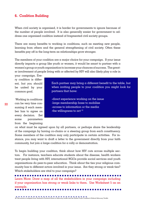#### **6. Coalition Building**

When civil society is organised, it is harder for governments to ignore because of the number of people involved. It is also generally easier for government to address one organised coalition instead of fragmented civil society groups.

There are many benefits to working in coalitions, such as meeting new people, learning from others and the general strengthening of civil society. Often these benefits pay off in the long-term as relationships grow stronger.

The members of your coalition are a major choice for your campaign. If your issue directly impacts a group like youth or women, it would be smart to partner with a women's group or youth organisation to increase your chances of success. The greater involvement of people living with or affected by HIV will also likely play a role in

your campaign. Every coalition is different, but you should be united by your common goal.

 Working in coalitions can be very time consuming if each member has to agree on every decision. Set some parameters from the beginning

Each partner may bring a different benefit to the table, but when inviting people to your coalition you might look for partners that have:

-direct experience working on the issue -large membership base to mobilise -access to information or the media -the willingness to act<sup>41</sup>

on what must be agreed upon by all partners, or perhaps share the leadership of the campaign by having co-chairs or a steering group from each constituency. Some members of the coalition may only participate in certain activities. For instance, you may want to draft a letter to the government directly from your faith community, but join a large coalition for a rally or demonstration.

To begin building your coalition, think about how HIV cuts across multiple sectors. For instance, teachers educate students about the disease, health workers treat people living with HIV, international NGOs provide social services and youth organisations do peer-to-peer education. Think about the ties your religious community has to different actors involved in your issue. Are they strong or weak ties? Which stakeholders are vital to your campaign?

Learn More: Draw a map of all the stakeholders in your campaign including if your organisation has strong or weak links to them. Use Worksheet 5 as an example.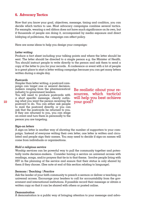#### **6. Advocacy Tactics**

Now that you know your goal, objectives, message, timing and coalition, you can decide which tactics to use. Most advocacy campaigns combine several tactics. For example, wearing a red ribbon does not have much significance on its own, but if thousands of people are doing it, accompanied by media exposure and direct lobbying of politicians, the campaign can affect policy.

Here are some ideas to help you design your campaign:

#### *Letter writing*

Produce a fact sheet including your talking points and where the letter should be sent. The letter should be directed to  $\alpha$  single person e.g. the Minister of Health. You should instruct people to write directly to the person and ask them to send  $\alpha$ copy of the letter to you for your records. A conference or event with  $\alpha$  lot of people is a great place to start a letter writing campaign because you can get many letters written during a single day.

#### *Postcards*

Simpler than letter writing, a postcard campaign can target one or several decisionmakers ranging from the pharmaceutical industry to government leaders.

You will need to produce postcards with a short specific message, clearly outlin-23 ing what you want the person receiving the  $\gamma$ **OUT**  $\overline{QOQI}$ **?** postcard to do. You can either ask people to mail the postcard directly, or you can ask that the postcards be returned to you. If they are returned to you, you can stage an event and turn them in personally to the person you are targeting.

Be realistic about your resources, which tactic(s) will help you best achieve

#### *Sign-on letters*

A sign-on letter is another way of showing the number of supporters to your campaign. Instead of everyone writing their own letter, one letter is written and circulated and people sign their names. You may need to decide if sign-on names will come from individuals or organisations.

#### *Hold a religious service*

Worship services can be powerful way to pull the community together and potentially invite decision-makers. Consider having a service on universal access with readings, songs, and/or prayers that tie-in to that theme. Involve people living with HIV in the planning of the service and ensure that their status is only shared by them if they choose. (See note at end of this section relating to language).

#### *Sermons / Teaching / Practice*

Ask the leader of your faith community to preach a sermon or deliver a teaching on universal access. Encourage your leaders to call for accountability from the government and international institutions. If possible record their message or obtain a written copy so that it can be shared with others or posted online.

#### *Demonstration*

A demonstration is a public way of bringing attention to your message and advo-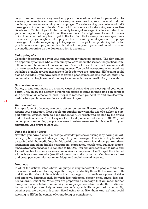cacy. In some cases you may need to apply to the local authorities for permission. To ensure your event is a success, make sure you have time to spread the word and that the timing makes sense within your campaign. Consider asking people to send SMS messages to invite their friends. You could also use social networking websites like Facebook or Twitter. If your faith community belongs to a larger institutional structure, you could appeal for support from other members. You might want to fund transportation to ensure that people can get to the location. Make sure your message comes across clearly; you might want to prepare banners with your slogan and campaign message. Consider assigning a photographer to take pictures, producing t-shirts for people to wear and prepare a short hand-out. Prepare a press statement to ensure any media reporting on the demonstration is accurate.

#### *Make a day of it*

Consider dedicating a day in your community for universal access. The day can be an opportunity for your whole community to learn about the issues, the political commitments, and have fun at the same time. You could use drama and dance as well as make speeches to get your message across. You could incorporate a letter-writing workshop or make a video message to the leader you are targeting. HIV testing could also be included if you have access to trained peer counselors and medical staff. The community can begin and end the day together with prayer, meditation, or worship.

#### *Drama, dance, music*

Dance, drama and music are creative ways of conveying the message of your campaign. They allow the element of personal stories to come through and can connect with people on an emotional level. They also represent your culture and are also wonderful when you have an audience of different ages.

#### *Wear an emblem*

A simple form of advocacy can be to get supporters to all wear a symbol, which represents your campaign. Most people are familiar now with the use of a ribbon to support different causes, such as a red ribbon for AIDS which was created by the artists and activists of Visual AIDS to symbolise blood, passion and love in 1991. Why not come up with something people can wear to raise awareness that is specific to your campaign? Ask artists to help you.

#### *Using the Media / Logos*

Now that you have a strong message, consider professionalising it by asking an artist or graphic designer to design a logo for your message. There is a chapter about engaging with the media later in this toolkit but here are a few ideas: put an advertisement in printed media like newspapers, magazines, newsletters, bulletins, (sometimes advertisement space is donated to NGOs). You can also reach out to radio and TV stations (make sure your news has a visual component). Don't forget the internet – launch your own website (see Wordpress.com to start your own simple site for free) and cross post your information on blogs and social networking sites.

#### *Language*

In all of the actions listed above language is very important. As people of faith we are often accustomed to language that helps us identify those that share our faith and those that do not. To outsiders this language can sometimes appear divisive and offensive. Examples include words like redeemed, chosen ones, saved, lost, sinner, ignorant, infidel etc. When you are preparing a campaign that will reach further than your immediate faith community the language needs to consider that audience. Be aware that you are likely to have people living with HIV in your faith community, whether you are aware of it or not. Avoid using terms like 'them' and 'us' and avoid referring to HIV in the context of wrongdoing or punishment.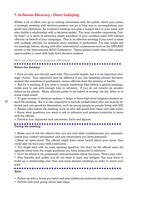#### **7. In-Person Advocacy / Direct Lobbying**

Whilst  $\alpha$  lot of effort can go to raising awareness with the public about your issue, a strategic meeting with decision-makers can go a long way to accomplishing your goals and objectives. An in-person meeting can give a human face to your issue and also builds a relationship with a decision-maker. You may consider organising "lobby days" or a week of advocacy where members of your coalition meet with elected officials on behalf of your campaign. This is an effective strategy if you need to meet with multiple officials, for instance every member of parliament. You also might ask for meetings before, during and after international conferences such as the UNGASS review or the International AIDS Conference. These global events often offer unique opportunities to meet with high-level decision-makers.

*Here are a few tips for in-person advocacy:*

**25**

#### **Before the meeting:**

• Find out who you should meet with. This sounds simple, but it is an important strategic choice. Your approach may be different if you are targeting elected decisionmakers like members of parliament, versus officials from the ministry of health.

• Ask for a meeting. If you have a certain timeframe (like before a global meeting), make sure to ask with enough time in advance. If you do not receive an answer, follow-up by phone. Many officials prefer to be asked in writing, via fax, letter or in some cases email.

- To gain access to decision-makers, it helps to have high-level religious leaders attend the meeting. But it is also important to include stakeholders who are directly affected and can speak for themselves, such as young people or people living with HIV.
	- Assign roles before the meeting, such as who will speak first, chair and take notes.
	- Know what questions you want to ask in advance and prepare materials to leave with the official.

• Practice your argument and use stories, facts and figures.

#### . . . . . . . **During the meeting:**

• Make sure to tell the official who you are and what constituencies you represent. Leave your contact information and any information you have prepared.

• Keep an open mind. The official might have never heard about your issue; they could also be from your faith community.

• You might start with an easy opening question, but don't let the official steer the agenda away from the tough questions you have prepared in advance.

• Don't be afraid to be passionate and persuasive about the issue. That's your role!

• Stay friendly and polite, you do not want to burn any bridges. You may have to build up a relationship over time and have several meetings in order to reach your goal.

#### **CONTRACTOR After:**

- Follow-up with a thank you letter and any additional materials that were requested.
- Debrief with your group about next steps.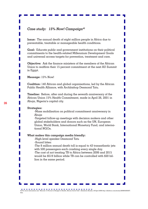#### *Case study: 15% Now! Campaign42*

**Issue:** The annual death of eight million people in Africa due to preventable, treatable or manageable health conditions.

**Goal:** Educate public and government institutions on their political commitments to the health-related Millennium Development Goals and universal access targets for prevention, treatment and care.

**Objective:** Ask the finance ministers of the members of the African Union to reaffirm their 15 percent commitment at the next AU Summit in Egypt.

**Message:** 15% Now!

**Coalition:** 140 African and global organisations, led by the African Public Health Alliance, with Archbishop Desmond Tutu.

**Timeline:** Before, after and during the seventh anniversary of the African Union 15% Health Commitment, made in April 26, 2001 in Abuja, Nigeria's capital city.

#### **Strategies:**

-Mass mobilisation on political commitment anniversary in Abuja

-Targeted follow-up meetings with decision makers and other global stakeholders and donors such as the UN, European Union, World Bank, International Monetary Fund, and international NGOs.

#### **What makes this campaign media friendly:**

-High-level speaker Desmond Tutu -Sound bites:

-The 8 million annual death toll is equal to 43 transatlantic jets with 500 passengers each crashing every single day. -The cost of not treating TB to Africa between 2006 and 2015

would be \$519 billion while TB can be controlled with \$20 billion in the same period.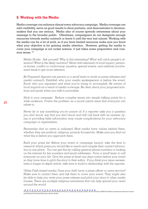#### **8. Working with the Media**

Media coverage can enhance almost every advocacy campaign. Media coverage can add credibility, serve as good results to show partners, and demonstrates to decisionmakers that you are serious. Media also of course spreads awareness about your message to the broader public. Oftentimes, campaigners do not designate enough resources towards media outreach or leave it until the very last minute. Working with the media can be a lot of work, so if you have limited resources make sure you know what your objective is for gaining media attention. However, getting the media to cover your campaign is not rocket science, it just takes some preparation and common sense.  $43$ 

*Media Hooks: Ask yourself 'Why is this interesting? What will catch people's attention? What is the likely reaction?' News with elements of local impact, personal stories, conflict or controversy, injustice, special events, and celebrity involvement tends to get more attention.*

*Be Prepared: Appoint one person or a small team to work on press releases and media outreach. Establish who your media spokesperson is before the event. Know who you represent and what you're trying to accomplish. Be aware of local impacts as a result of media coverage. Be clear about your proposed solutions and goals when you talk to journalists.*

*Stick to your message: Reduce complex issues into simple talking points for a wide audience. Frame the problem as a social justice issue that everyone can relate to.* 

*Never lie or say something you're unsure of: If a reporter asks you a question you don't know, say that you don't know and will call back with an answer. Lying or providing false information may cause complications for your advocacy campaign or organisation.*

*Remember that no news is unbiased: Most media have values behind them, whether they are political, religious, poverty focused etc. Make sure you find out what this is before you approach them.* 

*Build your press list: Before your event or campaign launch, take the time to research which press you would like to reach and compile their contact information in one place. You can get this by calling general phone numbers or looking on the internet for fax numbers and email addresses. Form a small team to call everyone on your list. Give the press at least one days notice before your event so they have time to pitch the story to their editor. If you think your issue necessitates a longer in-depth article, take time to build a relationship with the reporter.* 

*Utilise Faith-based media: Does your faith have a press officer or news service? Make sure to contact them and ask them to cover your event. They might also be able to help you write your press release and pitch your story to other media houses. There are multiple religious newswires that can help spread your news around the world.*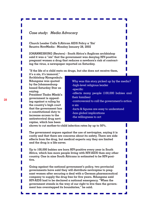#### *Case study: Media Advocacy*

**Church Leader Calls S.African AIDS Policy a 'Sin' Reuetrs NewMedia - Monday January 28, 2002** 

**JOHANNESBURG (Reuters) - South Africa's Anglican archbishop said it was a "sin" that the government was denying HIV-positive pregnant women a drug that reduces a newborn's risk of contracting the virus, a newspaper reported on Saturday.** 

**"If the life of a child rests on drugs, but she does not receive them,** 

**it's a sin, it's immoral," Archbishop Njongonkulu Ndungane was quoted by the Johannesburgbased Saturday Star as saying.** 

**President Thabo Mbeki's government is appealing against a ruling by the country's high court that the government has a constitutional duty to increase access to the antiretroviral drug nevirapine, which has been** 

Why was this story picked up by the media? -high-level religious leader -specific -affects many people (100,000 babies and their families)

-controversial to call the government's action  $\alpha$  sin

П

-facts & figures are easy to understand -has global implications

-the willingness to act

**shown to cut mother-to-child infection rates by up to 50%.** 

**The government argues against the use of nevirapine, saying it is costly and that there are concerns about its safety. There are side effects from the drug, but medical experts say they are limited and the drug is a life-saver.** 

**Up to 100,000 babies are born HIV-positive every year in South Africa, which has more people living with HIV-AIDS than any other country. One in nine South Africans is estimated to be HIV-positive.** 

**Going against the national government's policy, two provincial governments have said they will distribute nevirapine to pregnant women after securing a deal with a German pharmaceutical company to supply the drug free for five years. Ndungane said HIV-AIDS had to be declared a national emergency. "When the government stands in the way of our right to live then the government has overstepped its boundaries," he said.**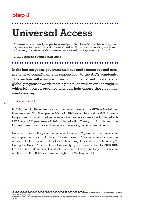## **Step 3**

# **Universal Access**

"Universal access can only happen because of you... You, the faith based leaders supporting communities around the world... who will hold us all to account for reaching our universal access goals. We know what it takes— now we need your inspiration and action."

UNAIDS Executive Director, Michel Sidibe 44

**In the last ten years, governments have made numerous and comprehensive commitments in responding to the AIDS pandemic. This section will examine those commitments and take stock of global progress towards meeting them, as well as outline ways in which faith-based organisations can help ensure these commitments are kept.**

#### **1. Background 29**

In 2007, the Joint United Nations Programme on HIV/AIDS (UNAIDS) estimated that there were over 33 million people living with HIV around the world. In 2008, for every two persons on antiretroviral treatment another five persons were newly infected with HIV. Almost 7,500 people are still being infected with HIV every day. AIDS is one of the top ten causes of mortality worldwide, and the leading cause of death in Africa.

Universal access is the global commitment to make HIV prevention, treatment, care and support services available to all those in need. This commitment is based on measurable, time-bound and realistic national targets specific to each country 45. During the United Nations General Assembly Special Session on HIV/AIDS (UN-GASS) in 2001, Member States adopted a series of time-bound targets, which were reaffirmed at the 2006 United Nations High Level Meeting on AIDS.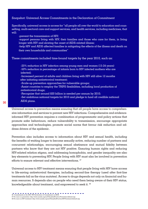#### Snapshot: Universal Access Commitments in the Declaration of Commitment

Specifically, universal access is access for "all people all over the world to education and counselling, multi-sectoral care and support services, and health services, including medicines, that will:

-prevent the transmission of HIV;

-support persons living with HIV, their families and those who care for them, in living longer with HIV and slowing the onset of AIDS-related illness;

-help HIV and AIDS affected families in mitigating the effects of the illness and death on their own households and communities" 46

These commitments included time-bound targets by the year 2010, such as:

-25% reduction in HIV infection among young men and women (15-24 years) -50% reduction in percentage of infants born to HIV infected mothers who are infected;

-Increased percent of adults and children living with HIV still alive 12 months after initiating antiretroviral treatment;

-Scale-up prevention approaches for vulnerable groups;

-Assist countries to employ the TRIPS flexibilities, including local production of antiretroviral drugs;

-Recognise that around \$20 billion is needed per annum by 2010;

-Set ambitious national targets for 2010 and pledge to fund all credible national AIDS plans.

Universal access to prevention means ensuring that all people have access to comprehensive information and services to prevent new HIV infections. Comprehensive and evidenceinformed HIV prevention requires  $\alpha$  combination of programmatic and policy actions that promote safer behaviours, reduce vulnerability to transmission, encourage appropriate approaches and technologies, promote social norms that favour risk reduction and address drivers of the epidemic.

Prevention also includes access to information about HIV and sexual health, including the benefits of waiting longer to become sexually active, reducing number of partners and concurrent relationships, encouraging sexual abstinence and mutual fidelity between partners who know that they are not HIV positive. Ensuring human rights and reducing HIV-related relation stigma, and addressing homophobia, and gender inequality are also key elements to preventing HIV. People living with HIV must also be involved in prevention efforts to ensure relevant and effective interventions.<sup>47</sup>

Universal access to HIV treatment means ensuring that people living with HIV have access to life-saving antiretroviral therapies, including second-line therapy (used after first-line treatments fail as the virus mutates). Access to drugs depends not only on financial and human resources. It depends also on people who need them being aware of their HIV status, knowledgeable about treatment, and empowered to seek it. 48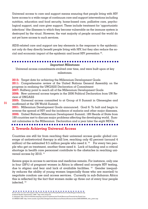Universal access to care and support means ensuring that people living with HIV have access to a wide range of continuum care and support interventions including nutrition, education and food security, home-based care, palliative care, psychological support, and care giver support. These include treatment for 'opportunistic infections' (the illnesses to which they become vulnerable as the immune system is destroyed by the virus). However, the vast majority of people around the world do not yet have access to such services.

AIDS-related care and support are key elements in the response to the epidemic; not only do they directly benefit people living with HIV, but they also reduce the social and economic impact of the epidemic and boost HIV prevention 49.

#### . . . . . .

#### *Important Milestones*

Universal access commitments evolved over time, and were built upon at key milestones.

**2015:** Target date for achieving the Millennium Development Goals **2011:** Comprehensive review of the United Nations General Assembly on the progress in realising the UNGASS Declaration of Commitment **2007:** Halfway point to reach all of the Millennium Development Goals

**2006:** New universal access targets in the 2006 Political Declaration from UN Review of UNGASS

**2005:** Universal access committed to at Group of 8 Summit in Gleneagles and reaffirmed at the UN World Summit.

**2001:** Millennium Development Goals announced. Goal 6: To halt and begin to reverse the spread of HIV and the incidence of malaria and other major diseases. **2000:** United Nations Millennium Development Summit; 189 Heads of State from 189 countries met to discuss major problems affecting the developing world. Summit culminates in the Millennium Declaration and  $\alpha$  year later the eight MDGs

#### **2. Towards Achieving Universal Access**

Countries are still far from reaching their universal access goals: global coverage of antiretroviral therapy is still low, reaching only 42 percent (around 4 million) of the estimated 9.5 million people who need it.  $50$  For every two people who get on treatment, another three need it. Lack of funding and a critical shortage in health care personnel contribute to the obstacles in reaching universal access by 2010. 51

Severe gaps in access to services and medicine remain. For instance, only one in four (28%) of pregnant women in Africa is offered and accepts HIV testing, due to stigma and fear and lack of available facilities. 52 Gender inequality reduces the ability of young women (especially those who are married) to negotiate condom use and access services. Currently in sub-Saharan Africa this is reflected by the fact that women make up three out of every four people infected. 53

- 51 Adopted: http://www.worldaidscampaign.org/en/Constituencies/Youth/Resources/Towards-the-Finish-Line
- 52 UNAIDS 2009. http://www.unaids.org/en/KnowledgeCentre/Resources/FeatureStories/archive/2009/20090930\_who\_pmtct.asp

<sup>50</sup> World Health Organization, 2009. http://who.int/hiv/en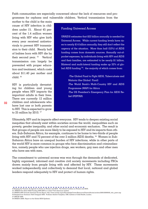Faith communities are especially concerned about the lack of resources and programmes for orphans and vulnerable children. Vertical transmission from the

mother to the child is the main cause of HIV infection in children under 15. About 45 percent of the 1.4 million women living with HIV who give birth every year received antiretrovirals to prevent HIV transmission to their child. Nearly half of babies born with HIV die by their second year.<sup>55</sup> Vertical transmission can largely be prevented with proper education and treatment, which costs about \$11.40 per mother and child. 56

HIV is particularly devastating for children and young people when HIV impacts the important adults in their lives. There are currently 12 million children and adolescents who have lost one or both parents to HIV. This is expected to grow to 25 million by 2010. 57

#### Funding Universal Access

UNAIDS estimates that \$23 billion annually is needed for Universal Access. While current funding levels have risen to nearly \$14 billion annually, they still don't reflect the urgency of the situation. More than half (52%) of AIDS funding comes from domestic sources. Annually out-ofpocket expenses, by individuals living with HIV and AIDS and their families, are estimated to be nearly \$1 billion. Bilateral and multi-lateral funding make up 32% of global AIDS funding  $54$ , the majority of which comes from:

> -The Global Fund to Fight AIDS, Tuberculosis and Malaria (the Global Fund) -The World Bank's Multi-Country HIV and AIDS Programme (MAP) for Africa -The US President's Emergency Plan for AIDS Relief (PEPFAR)

Ultimately, HIV and its impacts affect everyone. HIV tends to deepen existing social inequities that already exist within societies across the world, inequalities such as poverty, gender inequality, and other social and economic exclusion. The result is that groups of people are more likely to be exposed to HIV and its impacts than others. Sub-Saharan Africa, for example, continues to be home to two-thirds of people living with HIV and 72 percent of the over 2 million AIDS deaths. 58 Women in Sub-Saharan Africa bare an unequal burden of HIV infections, while in other parts of the world HIV is more common in groups who face discrimination and criminalisation, namely people who use injection drugs, sex workers, gay men and other men who have sex with men.

The commitment to universal access was won through the demands of dedicated, highly organised, informed and creative civil society movements including FBOs drawn mainly from people living with and affected by HIV. These movements worked independently and collectively to demand that local, national and global leaders respond adequately to HIV and protect of human rights.

53 Keeping the Promise: An Agenda for Action on Women and AIDS. The Global Coalition on Women and AIDS.

54 UNAIDS Fact Sheet AIDS Funding 2008-2009 is it online? Full references needed

- 55 UNAIDS 2009 Towards Universal Access Report, http://www.unaids.org/en/KnowledgeCentre/Resources/FeatureStories/archive/2009/20090930\_who\_pmtct.asp 56 Adopted from Tearfund, Faith Untapped 2008. Professor Andrew Tompkins, OBE. Institute of Child Health, London.
- 57 UNICEF 2009.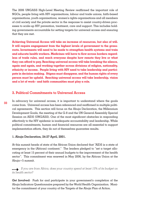The 2006 UNGASS High-Level Meeting Review reaffirmed the important role of NGOs, people living with HIV organisations, labour and trade unions, faith-based organisations, youth organisations, women's rights organisations and all members of civil society and the private sector in the response to assist country-driven processes to scale-up HIV prevention, treatment, care and support. This includes holding governments accountable for setting targets for universal access and ensuring that they are met.

**Achieving Universal Access will take an increase of resources, but also of will. It will require engagement from the highest levels of government to the grassroots. Investments will need to be made to strengthen health systems and train and educate health workers. Medicines will have to flow across borders regardless of trade rules, and reach everyone despite how remote they live or what they can afford to pay. Reaching universal access will take breaking the silence, again and again, and working together across divisions of religion, nationality, ethnicity or income. People living with HIV need to take leadership and participate in decision-making. Stigma must disappear, and the human rights of every person must be upheld. Reaching universal access will take leadership, vision and a lot of work-- and faith communities must play a role.** 

#### **3. Political Commitments to Universal Access**

**33**

In advocacy for universal access, it is important to understand where the goals come from. Universal access has been referenced and reaffirmed in multiple political agreements. This section will focus on the Abuja Declaration, the Millennium Development Goals, the meeting of the G-8 and the UN General Assembly Special Session on AIDS (UNGASS). One of the most significant obstacles in responding effectively to the HIV epidemic is inadequate accountability and leadership. While political commitments, human and financial resources are all essential to support implementation efforts, they do not of themselves guarantee results.

#### **1. Abuja Declaration, 24-27 April, 2001.**

At this summit heads of state of the African Union declared that "AIDS is a state of emergency in the (African) continent." The leaders pledged to "set a target allocating at least 15 percent of their annual budgets to the improvement of the health sector". This commitment was renewed in May 2006, by the African Union at the Abuja+5 summit.

### *If you are from Africa, does your country spend at least 15% of its budget on*  4 *its health sector?*

*Get Involved:* Push for and participate in your government's completion of the Abuja Indicators Questionnaire prepared by the World Health Organization. Monitor the commitment of your country of the Targets of the Abuja Plan of Action.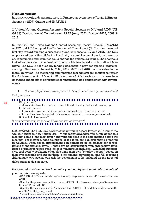#### *More information:*

http://www.worldaidscampaign.org/fr/Principaux-evenements/Abuja-5/African-Summit-on-AIDS-Malaria-and-TB-ABUJA-5

#### **2. United Nations General Assembly Special Session on HIV and AIDS (UN-GASS) Declaration of Commitment, 25-27 June, 2001, Review 2006, 2008 & 2011.**

In June 2001, the United Nations General Assembly Special Session (UNGASS) on HIV and AIDS adopted The Declaration of Commitment (DoC) - a long needed first step toward building a successful global response to HIV and AIDS. The DoC emphasised that with sufficient political will, leadership commitment, and resources, communities and countries could change the epidemic's course. The enormous task ahead was clearly outlined with measurable benchmarks and a defined timeframe. The DoC is not a legally binding document; it provides specific targets including milestones to be met by 2003, 2005, 2007 and 2010 that are subjected to thorough review. The monitoring and reporting mechanisms put in place to review the DoC are called CHAT and CRIS (listed below). Civil society can also use them as guides and points of participation for monitoring and engagement with governments.

| The next High Level meeting on AIDS is in 2011, will your government fulfil |  |
|-----------------------------------------------------------------------------|--|
| their promise?                                                              |  |

. . . . . . . . . . . --------------------------Did you know? - 123 countries have held national consultations to identify obstacles to scaling up to universal access - 111 countries have set ambitious national targets to reach universal access

- 83 countries have integrated their national Universal access targets into their National Strategic plans 59

*What has your country done and how can you be involved?* ..............

*Get Involved:* The high-level review of the universal access targets will occur at the United Nations in New York in 2011. While many advocates will surely attend this meeting, some of the most important work happens in the nine months before the meeting. For instance, each country is asked to fill out a questionnaire prepared by UNAIDS. Faith-based organisations can participate in the stakeholder consultations at the national level. If there are no consultations with civil society, faithbased organisations can push the government to be included. Whilst labour intensive, civil society coalitions often also write their own "shadow reports" based on their own research and submit them to the national government and UN meetings Additionally, civil society can ask the government to be included on the national

delegations to this meeting.

## *For more information on how to monitor your country's commitments and submit*

#### *your own shadow reports:*

-UNAIDS:http://www.unaids.org/en/CountryResponses/UniversalAccess/default.aspAIDS

-Country Response Information System (CRIS): http://www.unaids.org/en/Knowledge-Centre/HIVData/CRIS/

-Country Harmonisation and Alignment Tool (CHAT): http://data.unaids.org/pub/Report/2007/jc1321\_chat\_en.pdf

-Accountability International: http://aidsaccountability.org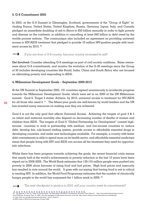#### **3. G-8 Commitment 2005**

In 2005, at the G-8 Summit in Gleneagles, Scotland, governments of the "Group of Eight" including France, United States, United Kingdom, Russia, Germany, Japan, Italy, and Canada pledged an immediate doubling of aid to Africa to \$50 billion annually in order to fight poverty and disease on the continent, in addition to cancelling at least \$40 billion in debt owed by the worlds poorest nations. The communique also included an agreement on providing universal access to HIV/AIDS treatment that pledged to provide 10 million HIV-positive people with treatment access by 2010. 60

#### 4 *If you are from a G-8 country, has your country increased its aid?*

*Get Involved:* Consider attending G-8 meetings as part of civil society coalitions. Raise awareness about G-8 commitments, and monitor the evolution of the G-20 meetings since the Group of 20 includes developing countries like Brazil, India, China and South Africa who are focused on alleviating poverty and responding to AIDS.

#### **4. Millennium Development Goals – September 2000-2015**

At the UN Summit in September 2005, 191 countries agreed unanimously to accelerate progress towards the Millennium Development Goals, which were set in on 2000 at the UN Millennium summit. Goal 6, Target 2 states: Achieve, by 2010, universal access to treatment for HIV/AIDS for all those who need it. 61 The fifteen-year goals are well-known by world leaders and the UN has invested many resources on making sure they are achieved.

Goal 6 is not the only goal that affects Universal Access. Achieving the targets of goal 4 & 5 on infant and maternal mortality also depend on decreasing number of deaths of women and children from AIDS. The targets of Goal 8 "Global Partnership for Development" commit highincome countries to work in partnership with medium- and low-income countries to: reduce debt, develop fair, rule-based trading system, provide access to affordable essential drugs in developing countries, and make new technologies available. For example, a country with fewer debt commitments is able to spend more on its health sector, and affordable essential medicines mean that people living with HIV and AIDS can access all the treatment they need for opportunistic infections.

Whilst there has been progress towards achieving the goals, the recent financial crisis means that nearly half of the world's achievements in poverty reduction in the last 10 years have been wiped out in 2008-2009. The World Bank estimates that 130-155 million people were pushed into poverty in 2008 alone because of rising food and fuel prices. High food prices and insecurity has resulted in riots around the world. It goes with out saying that having food to eat is critical to treating HIV. In addition, the World Food Programme estimates that the number of chronically hungry people in the world has surpassed the 1 billion mark in 2009. <sup>62</sup>

4 *The next checkpoint to goals is in 2010, will your country meet its commitments?*

60 "G8 Appears To Be On 'Verge Of Backtracking' On Gleneagles HIV/AIDS Commitments, Financial Times Reports". http://www.medicalnewstoday.com/articles/73568.php Accessed: Sept. 21, 2009. See also examples of faith-based advocacy at the G8: http://www.e-alliance.ch/en/s/hivaids/accountability/g8/ 61 http://www.un.org/millenniumgoals/aids.shtml Goal 6, Target 2 62 FAO's State of World Food Insecurity, October 2009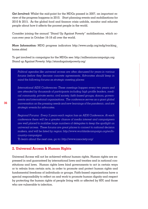*Get Involved:* Whilst the mid-point for the MDGs passed in 2007, an important review of the progress happens in 2010. Start planning events and mobilisations for 2010 & 2015. As the global food and finance crisis unfolds, monitor and educate people about how it affects the poorest people in the world.

Consider joining the annual "Stand Up Against Poverty" mobilisations, which occurs ever year in October 16-18 all over the world.

*More Information:* MDG progress indicators http://www.undp.org/mdg/tracking\_ home.shtml

To get involved in campaigns for the MDGs see: http://millenniumcampaign.org Stand up Against Poverty: http://standagainstpoverty.org/

**Monitoring & evaluation and indicators** *forums before they become concrete agreements. Advocates should keep in Political agendas like universal access are often discussed for years in various mind the following forums as strategic meeting places:*

It is unfortunate that the most others, includes that this kit, like  $\mathbb{R}^n$ International AIDS Conferences: These meetings happen every two years and *International AIDS Conferences: These meetings happen every two years and* the section on monitoring and evaluation (M&E) and the related appendix (See Ap-*are attended by thousands of participants including high profile leaders, medi*pendix IV) because a good advocacy plan is significantly strengthened when M&E *cal community, private sector, civil society, faith-based groups, donors, govern*ments and international organisations. The conference serves as a giant global  $\,$  $\mathcal{E}$  is a very decided by deciding to include  $\mathcal{E}$  in the including deciding to include new ac*conversation on the pressing needs and new learnings of the pandemic, and are strategic events for advocates.*

tivities, enlist new allies, open another front of debate or deciding not to do these things should be assessed in view of where you are in meeting your objectives. If *Regional Forums: Every 2 years each region has an AIDS Conference. At each*  your decision is to be an informed one, rather than just following your instincts, you *conference there will be a greater chance of media interest and campaigners*  are well placed to mobilise large numbers of delegates to keep the spotlight on  $\overline{\phantom{a}}$ detract from your progress. Indicators are designed to tell you where you are – they *universal access. These forums are great places to connect to national decision*  makers, and will be listed by region: http://www.worldaidscampaign.org/en/In*country-campaigns*

*To learn about the next one, go to: http://www.iasociety.org/*

#### **2. Universal Access & Human Rights**

Universal Access will not be achieved without human rights. Human rights are expressed in and guaranteed by international laws and treaties and in national constitutions and laws. Human rights laws bind governments to act in certain ways or to refrain from certain acts, in order to promote and protect human rights and fundamental freedoms of individuals or groups. Faith-based organisations have a special responsibility to reflect on and work to promote human dignity and respect by protecting the human rights of people living with or affected by HIV, and those who are vulnerable to infection.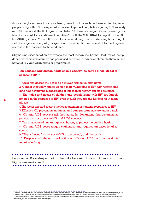Across the globe many laws have been passed and codes have been written to protect people living with HIV or suspected to be, and to protect people from getting HIV. As early as 1991, the World Health Organization listed 583 laws and regulations concerning HIV infection and AIDS from different countries.<sup>63</sup> Still, the 2008 UNAIDS Report on the Global AIDS Epidemic, <sup>64</sup> cites the need for sustained progress in addressing human rights violations, gender inequality, stigma and discrimination as essential to the long-term success in the response to the epidemic.

Stigma and discrimination are among the most recognised harmful features of the epidemic, yet almost no country has prioritised activities to reduce or eliminate them in their national HIV and AIDS plans or programmes.

#### **Ten Reasons why human rights should occupy the centre of the global response to HIV** <sup>65</sup>

1. Universal access will never be achieved without human rights.

2. Gender inequality makes women more vulnerable to HIV, with women and girls now having the highest rates of infection in heavily affected countries.

3. The rights and needs of children and people living with HIV are largely ignored in the response to HIV, even though they are the hardest hit in many places.

4.The worst affected receive the least attention in national responses to HIV.

5. Effective HIV prevention, treatment and care programmes are under attack.

6. HIV and AIDS activists risk their safety by demanding that governments provide greater access to HIV and AIDS services.

7. The protection of human rights is the way to protect the public's health.

8. HIV and AIDS poses unique challenges and requires an exceptional response.

9. "Rights-based" responses to HIV are practical, and they work.

10. Despite much rhetoric, real action on HIV and AIDS and human rights remains lacking.

#### 

Learn more: For a deeper look at the links between Universal Access and Human Rights, see Worksheet 6.

63 UNAIDS, Courting Rights: Case Studies in Litigating the Human Rights of the PLHIV http://data.unaids.org/Publications/IRC-pub07/jc1189-courtingrights\_en.pdf 64 UNAIDS, 2008 Report on the Global AIDS Epidemic http://www.unaids.org/en/KnowledgeCentre/HIVData/GlobalReport/2008/2008\_Global\_report.asp 65 Jürgens R and Cohen, J – OSI, Human Rights and HIV/AIDS: Now More Than Ever. http://www.soros.org/initiatives/health/focus/law/articles\_publications/publications/human\_20071017/english\_now-more-than-ever.pdf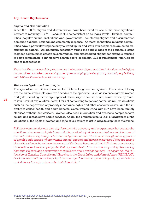#### **Key Human Rights issues**

#### *Stigma and Discrimination*

Since the 1980's, stigma and discrimination have been cited as one of the most significant barriers to reducing HIV. <sup>66</sup> Because it is so persistent on so many levels—families, communities, popular culture, institutions and governments—countering stigma and discrimination demands a global, national and community response. As moral authorities, religious communities have a particular responsibility to stand up for and work with people who are being discriminated against. Unfortunately, especially during the early stages of the pandemic, some religious communities spread misinformation and exacerbated stigma, for example refusing to serve communion to HIV-positive church-goers, or calling AIDS a punishment from God for sins or disobedience.

*There is still a great need for programmes that counter stigma and discrimination and religious communities can take a leadership role by encouraging greater participation of people living with HIV in all levels of decision-making.* 

#### *Women and girls and human rights*

The special vulnerabilities of women to HIV have long been recognised. The stories of today are the same stories told over two decades of the epidemic—such as violence against women and girls, including for example spousal abuse, rape in conflict or not, sexual abuse by "caretakers," sexual exploitation, assault for not conforming to gender norms, as well as violations such as the deprivation of property inheritance rights and other economic assets, and the inability to collect health and death benefits. Some women living with HIV have been forcibly sterilised without their consent. Women also need information and access to comprehensive sexual and reproductive health services. Again, the problem is not a lack of awareness of the violations of the rights of women and girls; it is a failure to act in ways to stop these violations.

*Religious communities can also step forward with advocacy and programmes that counter the violations of women and girls human rights, particularly violence against women because of their role influencing family behaviour and gender norms. This can be through making places of worship safe spaces where women can get support and access to services if they are facing domestic violence, have been thrown out of the house because of their HIV status or are facing disinheritance of their property after their spouse's death. This also means publicly denouncing domestic violence and encouraging men to learn about gender equality. For example, the Fellowship of Christian Councils and Churches in the Great Lakes and Horn of Africa (FECCLAHA) has launched the Tamar Campaign to encourage Churches to speak out openly against abuse and violence through using contextual bible study.* <sup>67</sup>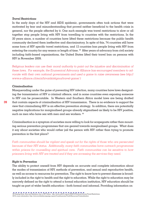#### *Travel Restrictions*

In the early days of the HIV and AIDS epidemic, governments often took actions that were motivated by fear and misunderstanding that proved neither beneficial to the health crisis in general, nor the people affected by it. One such example was travel restrictions to slow or all together stop people living with HIV from travelling to countries with the restrictions. In the 20 years since, a number of countries have lifted these restrictions because the public health community declared them ineffective and discriminatory. In spite of this, 74 countries still have some form of HIV specific travel restrictions, and 12 countries ban people living with HIV from entering the country for any reason or length of time. <sup>68</sup> After years of advocacy from civil society including faith-based organisations, the United States lifted their travel ban on persons with HIV in November 2009.

*Religious leaders can use their moral authority to point out the injustice and discrimination of these laws. For example, the Ecumenical Advocacy Alliance has encouraged members to advocate with their own national governments and used a game to raise awareness (see http:// www.e-alliance.ch/en/s/hivaids/stigma/travel-game/ )*

#### *Criminalisation*

Masquerading under the guise of preventing HIV infection, many countries have laws designating the transmission of HIV a criminal offence, and in some countries even exposing someone to HIV can be prosecutable. In Western and Southern Africa model laws are being drafted that contain aspects of criminalisation of HIV transmission. There is no evidence to support the view that criminalising HIV is an effective prevention strategy. In addition, there are potentially negative implications for marginalised groups already stigmatised as likely to be HIV positive, such as men who have sex with men and sex workers.  $69$ 

Criminalisation is a symptom of societies more willing to look for scapegoats rather than mounting serious prevention programmes that are geared towards marginalised groups. What does it say about societies who would rather jail the person with HIV rather than trying to promote prevention in the first place?

*Faith communities should be vigilant and speak out for the rights of those who are persecuted because of their HIV status. Additionally, many faith communities have outreach programmes within prisons for counselling and spiritual care. Faith communities can be sensitive to how prisoners living with HIV are treated and if they are accessing the services they need.* 

#### *Right to Prevention*

The ability to protect oneself from HIV depends on accurate and complete information about the modes of transmission of HIV, methods of prevention, and sexual and reproductive health, as well as access to resources for prevention. The right to know how to prevent disease is broadly included in the right to health and the right to education. While the right to education may be narrowly defined as the right to attend a formal education institution, HIV education should be taught as part of wider health education—both formal and informal. Providing information on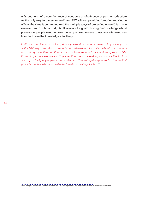only one form of prevention (use of condoms or abstinence or partner reduction) as the only way to protect oneself from HIV, without providing broader knowledge of how the virus is contracted and the multiple ways of protecting oneself, is in one sense a denial of human rights. However, along with having the knowledge about prevention, people need to have the support and access to appropriate resources in order to use the knowledge effectively.

*Faith communities must not forget that prevention is one of the most important parts of the HIV response. Accurate and comprehensive information about HIV and sexual and reproductive health is proven and simple way to prevent the spread of HIV. Promoting comprehensive HIV prevention means speaking out about the factors and myths that put people at risk of infection. Preventing the spread of HIV in the first place is much easier and cost-effective than treating it later.* <sup>70</sup>

 $\blacksquare$   $\blacksquare$   $\blacksquare$   $\blacksquare$   $\blacksquare$   $\blacksquare$   $\blacksquare$   $\blacksquare$   $\blacksquare$   $\blacksquare$   $\blacksquare$   $\blacksquare$   $\blacksquare$   $\blacksquare$   $\blacksquare$   $\blacksquare$   $\blacksquare$   $\blacksquare$   $\blacksquare$   $\blacksquare$   $\blacksquare$   $\blacksquare$   $\blacksquare$   $\blacksquare$   $\blacksquare$   $\blacksquare$   $\blacksquare$   $\blacksquare$   $\blacksquare$   $\blacksquare$   $\blacksquare$   $\blacks$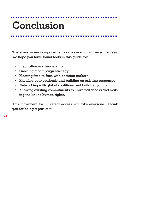# **Conclusion**

**There are many components to advocacy for universal access. We hope you have found tools in this guide for:**

- **• Inspiration and leadership**
- **• Creating a campaign strategy**
- **• Meeting face-to-face with decision-makers**
- **• Knowing your epidemic and building on existing responses**
- **• Networking with global coalitions and building your own**
- **• Knowing existing commitments to universal access and making the link to human rights.**

**This movement for universal access will take everyone. Thank you for being a part of it.**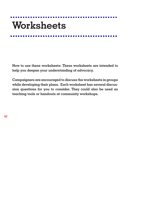# **Worksheets**

**How to use these worksheets: These worksheets are intended to help you deepen your understanding of advocacy.** 

**Campaigners are encouraged to discuss the worksheets in groups while developing their plans. Each worksheet has several discussion questions for you to consider. They could also be used as teaching tools or handouts at community workshops.**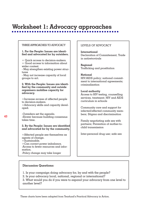## **Worksheet 1: Advocacy approaches**

| THREE APPROACHES TO ADVOCACY                                                                                                                             | LE                                   |
|----------------------------------------------------------------------------------------------------------------------------------------------------------|--------------------------------------|
| 1. For the People: Issues are identi-<br>fied and advocated for by outsiders.                                                                            | Int<br>$\mathrm{D}\mathrm{\epsilon}$ |
| + Quick access to decision-makers.<br>+ Good access to information about<br>wider context.<br>- May strengthen existing power struc-<br>tures            | in<br>Re<br>Tro                      |
| - May not increase capacity of local<br>groups to act.                                                                                                   | Nc<br>Hľ                             |
| 2. With the People: Issues are identi-<br>fied by the community and outside                                                                              | m <sub>6</sub><br>cri                |
| organisers mobilise capacity for<br>advocacy.                                                                                                            | Lo<br>Āс                             |
| +Increase access of affected people<br>to decision-makers.<br>+Advocacy skills and capacity devel-                                                       | se:<br>cu:                           |
| oped.                                                                                                                                                    | C <sub>c</sub><br>inf                |
| -Outsiders set the agenda.<br>-Slower because building consensus<br>takes time.                                                                          | be<br>Fα                             |
|                                                                                                                                                          | pa                                   |
| 3. By the People: Issues are identified<br>and advocated for by the community.                                                                           | ch                                   |
| $+$ Affected people see themselves as<br>agents of change.<br>$+$ Sustainable.<br>+Can correct power imbalance.<br>-Access to fewer resources and infor- | Int                                  |
| mation.<br>-Policy change may take longer                                                                                                                |                                      |
|                                                                                                                                                          |                                      |

#### VELS OF ADVOCACY

**International**  eclaration of Commitement, Trade antiretrovirals

**Regional**  afficking and prostitution

**National**  V/AIDS policy; national commit $ent$  to international agreements; minalisation

#### **Local authority**

cess to HIV testing, counselling rvices, treatment; HIV and AIDS curriculum in schools

ommunity care and support for lected/affected community members; Stigma and discrimination

 $mily$  negotiating safe sex with partners; Prevention of mother-toild transmission

ter-personal drug use; safe sex

#### **Discussion Questions:**

1. Is your campaign doing advocacy for, by and with the people?

2. Is your advocacy local, national, regional or international?

3. What would you do if you were to expand your advocacy from one level to another level?

These charts have been adapted from Tearfund's Practical Advocacy in Action.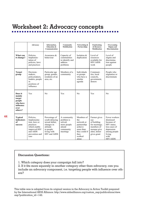## **Worksheet 2: Advocacy concepts**

|                                                                                   | Advocacv                                                                                                                     | Information,<br><b>Education &amp;</b><br>Communication                                                                | Community<br>Mobilisation                                                              | Networking &<br>Partnerships                                                                                       | Fundraising<br>& Resource<br><b>Mobilisation</b>                                                               | Overcoming<br>Stigma and<br><b>Discrimination</b>                                                                                           |
|-----------------------------------------------------------------------------------|------------------------------------------------------------------------------------------------------------------------------|------------------------------------------------------------------------------------------------------------------------|----------------------------------------------------------------------------------------|--------------------------------------------------------------------------------------------------------------------|----------------------------------------------------------------------------------------------------------------|---------------------------------------------------------------------------------------------------------------------------------------------|
| What can<br>it change?                                                            | Policies.<br>Implemen-<br>tation of<br>policies, laws<br>and practices                                                       | Awareness &<br>behaviour                                                                                               | Capacity of<br>communities<br>to identify and<br>address<br>problems                   | Isolation &<br>duplication                                                                                         | Level of<br>resources<br>available for<br><b>HIV/AIDS</b><br>work                                              | Level of<br>stigma and<br>discrimina-<br>tion against<br>people                                                                             |
| <b>Target</b><br>group                                                            | Decision-<br>makers,<br>policymakers,<br>leaders, people<br>in<br>positions of<br>influence                                  | Particular age<br>group, gender,<br>residents of an<br>area, etc.                                                      | Members of a<br>community                                                              | Individuals<br>or groups<br>who have a<br>similar<br>agenda                                                        | Communi-<br>ties, local<br>councils,<br>government,<br>donors                                                  | People who<br>stigmatise or<br>discriminate                                                                                                 |
| Does it<br>mainly<br>target<br>people<br>who have<br>influence<br>over<br>others? | Yes                                                                                                                          | No                                                                                                                     | Yes                                                                                    | N <sub>0</sub>                                                                                                     | Yes                                                                                                            | N <sub>0</sub>                                                                                                                              |
| <b>Typical</b><br><b>indicators</b><br>of<br>success                              | Policies,<br>Implementa-<br>tion, laws or<br>practices<br>which enable<br>improved HIV<br>and AIDS<br>prevention and<br>care | Percentage of<br>youth delaying<br>sexual debut;<br>changes in<br>attitude<br>to people<br>living with<br>HIV and AIDS | A community<br>problem is<br>solved:<br>more people<br>attend<br>community<br>meetings | Members of<br>the<br>network or<br>partnership<br>achieve<br>more than<br>they could if<br>they<br>worked<br>alone | Farmer gives<br>use<br>of building<br>for meetings;<br>members of<br>mosque give<br>alms; donor<br>gives grant | Fewer workers<br>dismissed<br>because of<br>HIV status;<br>less cases of<br>depression<br>among people<br>living<br>with<br><b>HIV/AIDS</b> |

#### **Discussion Questions:**

1. Which category does your campaign fall into?

2. If it fits more squarely in another category other than advocacy, can you include an advocacy component, i.e. targeting people with influence over others?

This table was is adapted from its original version in the Advocacy in Action Toolkit prepared by the International AIDS Alliance: http://www.aidsalliance.org/custom\_asp/publications/view. asp?publication\_id=142.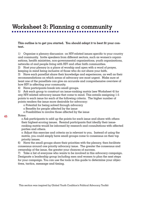## **Worksheet 3: Planning a community**

**This outline is to get you started. You should adapt it to best fit your context.**

1) Organise a plenary discussion on HIV-related issues specific to your country and community. Invite speakers from different sectors, such as women's organisations, health ministries, non-governmental organisations, youth organisations, networks of and people living with HIV and other faith communities.

2) Host your plenary in a place of worship and open with a word of prayer, keeping in mind being inclusive of those who do not share your faith.

3) Have each panellist share their knowledge and experiences, as well as their recommendations on which areas of advocacy are most urgent. Make sure at least one of the panellists can give an accurate and comprehensive overview of how HIV is affecting your community.

4) Have participants break into small groups.

5) Ask each group to construct an issue-ranking matrix (see Worksheet 4) for any HIV-related advocacy issues that come to mind. This entails assigning 1-5 points to each issue for each of the following criteria. The higher number of points renders the issue more desirable for advocacy:

o Potential for being solved through advocacy

o Benefits for people affected by the issue

o Possibilities to involve those affected by the issue

#### Notes:

o Ask participants to add up the points for each issue and share with others their highest-scoring issues. Remind participants that ideally their issueranking matrix would be informed by research and consultations with affected parties and others.

o Adjust this exercise and criteria as is relevant to you. Instead of using the matrix, you could simply have small groups come to consensus on their top priority issues.

6) Have the small groups share their priorities with the plenary, then facilitate consensus around one priority advocacy issue. The greater the consensus and ownership of the issue, the greater your chances of success.

7) Take a list of everyone who wants to be involved in this advocacy campaign. Designate a leadership group including men and women to plan the next steps for your campaign. You can use the tools in this guide to determine your objectives, tactics, message and timing.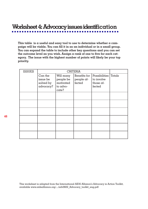## **Worksheet 4: Advocacy issues identification**

**This table is a useful and easy tool to use to determine whether a campaign will be viable. You can fill it in as an individual or in a small group. You can expand the table to include other key questions and you can set the outcome level as you wish. Assign a rank of one to five for each category. The issue with the highest number of points will likely be your top priority.**

| <b>ISSUES</b> | <b>CRITERIA</b>                               |                                                          |                                      |                                                    |        |
|---------------|-----------------------------------------------|----------------------------------------------------------|--------------------------------------|----------------------------------------------------|--------|
|               | Can the<br>issue be<br>solved by<br>advocacy? | Will many<br>people be<br>motivated<br>to advo-<br>cate? | Benefits for<br>people af-<br>fected | Possibilities<br>to involve<br>those af-<br>fected | Totals |
|               |                                               |                                                          |                                      |                                                    |        |
|               |                                               |                                                          |                                      |                                                    |        |
|               |                                               |                                                          |                                      |                                                    |        |
|               |                                               |                                                          |                                      |                                                    |        |
|               |                                               |                                                          |                                      |                                                    |        |
|               |                                               |                                                          |                                      |                                                    |        |

This worksheet is adapted from the International AIDS Alliance's Advocacy in Action Toolkit, available www.aidsalliance.org/.../adv0602\_Advocacy\_toolkit\_eng.pdf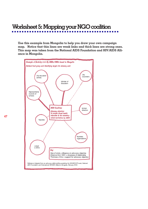## **Worksheet 5: Mapping your NGO coalition**

**Use this example from Mongolia to help you draw your own campaign map. Notice that thin lines are weak links and thick lines are strong ones. This map was taken from the National AIDS Foundation and HIV/AIDS Alliance in Mongolia.**

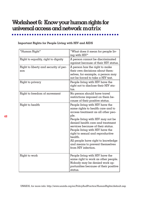## **Worksheet 6: Know your human rights for universal access and network matrix**

#### **Important Rights for People Living with HIV and AIDS**

| *Human Right*                                | *What does it mean for people liv-<br>ing with HIV*                                                                                                                                                                                                                                                                                                                                                                |
|----------------------------------------------|--------------------------------------------------------------------------------------------------------------------------------------------------------------------------------------------------------------------------------------------------------------------------------------------------------------------------------------------------------------------------------------------------------------------|
| Right to equality, right to dignity          | A person cannot be discriminated<br>against because of their HIV status.                                                                                                                                                                                                                                                                                                                                           |
| Right to liberty and security of per-<br>son | A person has the right to make<br>their own decisions about them-<br>selves, for example, a person may<br>not be forced to take a HIV test.                                                                                                                                                                                                                                                                        |
| Right to privacy                             | People living with HIV have the<br>right not to disclose their HIV sta-<br>tus.                                                                                                                                                                                                                                                                                                                                    |
| Right to freedom of movement                 | No person should have travel<br>restrictions imposed on them be-<br>cause of their positive status.                                                                                                                                                                                                                                                                                                                |
| Right to health                              | People living with HIV have the<br>same rights to health care and to<br>access treatment as all other peo-<br>ple.<br>People living with HIV may not be<br>denied health care and treatment<br>services because of their status.<br>People living with HIV have the<br>right to sexual and reproductive<br>health.<br>All people have right to knowledge<br>and means to prevent themselves<br>from HIV infection. |
| Right to work                                | People living with HIV have the<br>same right to work as other people.<br>Nobody may be denied work op-<br>portunities because of their positive<br>status.                                                                                                                                                                                                                                                        |

UNAIDS, for more info: http://www.unaids.org/en/PolicyAndPractice/HumanRights/default.asp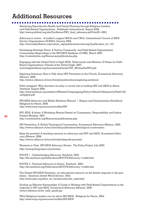## **Additional Resources**

#### . . . . . . . . . . . . . . . . . . .

Advancing Reproductive Health and Family Planning through Religious Leaders and Faith-Based Organizations. Pathfinder International, August 2006. http://www.pathfind.org/site/DocServer/FBO\_final\_reference.pdf?docID=6901

Advocacy in action – A toolkit to support NGOs and CBOs. International Council of AIDS Service Organizations (ICASO), January 2002. http://www.aidsalliance.org/custom\_asp/publications/view.asp?publication\_id=142

Developing Strategic Plans: A Tool for Community- and Faith-Based Organizations Communities Responding to the HIV/AIDS Epidemic (CORE), March 2007. http://coreinitiative.org/Resources/publications.php

Engaging with the Global Fund to Fight AIDS, Tuberculosis and Malaria: A Primer for Faith-Based Organizations. Friends of the Global Fight, 2007. www.theglobalfund.org/documents/friends/TGF\_APrimerForFBO.pdf

Exploring Solutions: How to Talk about HIV Prevention in the Church, Ecumenical Advocacy Alliance, 2008. http://www.e-alliance.ch/en/s/hivaids/publications/exploring-solutions/

Faith untapped. Why churches can play a crucial role in tackling HIV and AIDS in Africa. Tearfund, August 2006. http://www.tearfund.org/webdocs/Website/Campaigning/Policy%20and%20research/Faith%20 untapped.pdf

HIV/AIDS Advocacy and Media Relations Manual + Stigma and Discrimination Handbook Religions for Peace, 2008. http://www.wcrp.org/resources/toolkits/HIV

HIV, AIDS, & Islam: A Workshop Manual Based on Compassion, Responsibility and Justice. Positive Muslims, 2007. http://coreinitiative.org/Resources/publications.php

HIV Prevention: A Global Theological Conversation. Ecumenical Advocacy Alliance, 2009. http://www.e-alliance.ch/en/s/hivaids/publications/theological-conversation

Keep the promise! A teaching resource on advocacy and HIV and AIDS. Ecumenical Advocacy Alliance, 2006. http://www.e-alliance.ch/en/s/hivaids/keep-the-promise/

Moments in Time HIV/AIDS Advocacy Stories. The Policy Project, July 2003. http://www.policyproject.com/stories/

ROOTS 1 - Understanding Advocacy. Tearfund, 2002. http://tilz.tearfund.org/Publications/ROOTS/Advocacy+toolkit.htm

ROOTS 2 - Practical Advocacy in Action. Tearfund., 2002. http://tilz.tearfund.org/Publications/ROOTS/Advocacy+toolkit.htm

The Global HIV/AIDS Pandemic, an educational resource on the Jewish response to the pandemic. American Jewish World Service, 2005. http://www.ajws.org/what\_we\_do/education/hiv\_aids.html

Scaling up Effective Partnerships: A Guide to Working with Faith-Based Organizations in the response to HIV and AIDS, Ecumenical Advocacy Alliance, 2006. www.e-alliance.ch/hiv\_faith\_guide.jsp

What Religious Leaders can do about HIV/AIDS. Religions for Peace, 2004. http://www.wcrp.org/resources/toolkits/HIV-AIDS